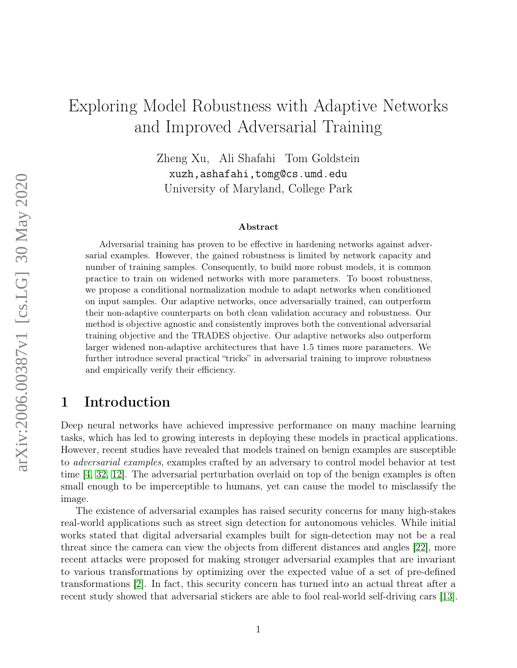# Exploring Model Robustness with Adaptive Networks and Improved Adversarial Training

Zheng Xu, Ali Shafahi Tom Goldstein xuzh,ashafahi,tomg@cs.umd.edu University of Maryland, College Park

#### Abstract

Adversarial training has proven to be effective in hardening networks against adversarial examples. However, the gained robustness is limited by network capacity and number of training samples. Consequently, to build more robust models, it is common practice to train on widened networks with more parameters. To boost robustness, we propose a conditional normalization module to adapt networks when conditioned on input samples. Our adaptive networks, once adversarially trained, can outperform their non-adaptive counterparts on both clean validation accuracy and robustness. Our method is objective agnostic and consistently improves both the conventional adversarial training objective and the TRADES objective. Our adaptive networks also outperform larger widened non-adaptive architectures that have 1.5 times more parameters. We further introduce several practical "tricks" in adversarial training to improve robustness and empirically verify their efficiency.

### 1 Introduction

Deep neural networks have achieved impressive performance on many machine learning tasks, which has led to growing interests in deploying these models in practical applications. However, recent studies have revealed that models trained on benign examples are susceptible to adversarial examples, examples crafted by an adversary to control model behavior at test time [\[4,](#page-13-0) [32,](#page-15-0) [12\]](#page-14-0). The adversarial perturbation overlaid on top of the benign examples is often small enough to be imperceptible to humans, yet can cause the model to misclassify the image.

The existence of adversarial examples has raised security concerns for many high-stakes real-world applications such as street sign detection for autonomous vehicles. While initial works stated that digital adversarial examples built for sign-detection may not be a real threat since the camera can view the objects from different distances and angles [\[22\]](#page-14-1), more recent attacks were proposed for making stronger adversarial examples that are invariant to various transformations by optimizing over the expected value of a set of pre-defined transformations [\[2\]](#page-13-1). In fact, this security concern has turned into an actual threat after a recent study showed that adversarial stickers are able to fool real-world self-driving cars [\[13\]](#page-14-2).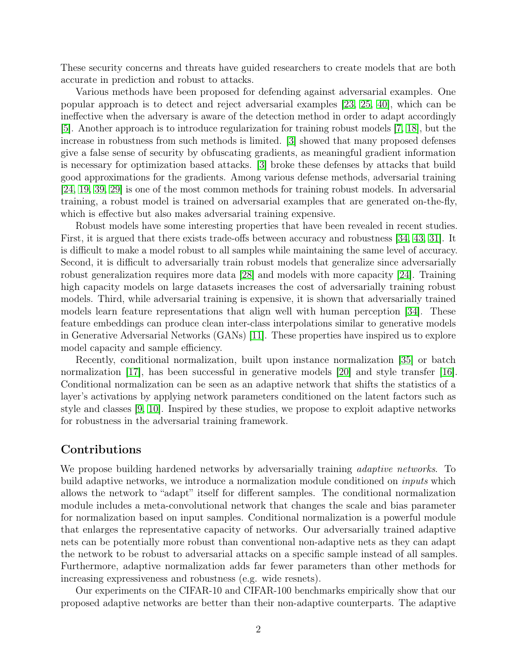These security concerns and threats have guided researchers to create models that are both accurate in prediction and robust to attacks.

Various methods have been proposed for defending against adversarial examples. One popular approach is to detect and reject adversarial examples [\[23,](#page-14-3) [25,](#page-14-4) [40\]](#page-15-1), which can be ineffective when the adversary is aware of the detection method in order to adapt accordingly [\[5\]](#page-13-2). Another approach is to introduce regularization for training robust models [\[7,](#page-13-3) [18\]](#page-14-5), but the increase in robustness from such methods is limited. [\[3\]](#page-13-4) showed that many proposed defenses give a false sense of security by obfuscating gradients, as meaningful gradient information is necessary for optimization based attacks. [\[3\]](#page-13-4) broke these defenses by attacks that build good approximations for the gradients. Among various defense methods, adversarial training [\[24,](#page-14-6) [19,](#page-14-7) [39,](#page-15-2) [29\]](#page-15-3) is one of the most common methods for training robust models. In adversarial training, a robust model is trained on adversarial examples that are generated on-the-fly, which is effective but also makes adversarial training expensive.

Robust models have some interesting properties that have been revealed in recent studies. First, it is argued that there exists trade-offs between accuracy and robustness [\[34,](#page-15-4) [43,](#page-15-5) [31\]](#page-15-6). It is difficult to make a model robust to all samples while maintaining the same level of accuracy. Second, it is difficult to adversarially train robust models that generalize since adversarially robust generalization requires more data [\[28\]](#page-15-7) and models with more capacity [\[24\]](#page-14-6). Training high capacity models on large datasets increases the cost of adversarially training robust models. Third, while adversarial training is expensive, it is shown that adversarially trained models learn feature representations that align well with human perception [\[34\]](#page-15-4). These feature embeddings can produce clean inter-class interpolations similar to generative models in Generative Adversarial Networks (GANs) [\[11\]](#page-13-5). These properties have inspired us to explore model capacity and sample efficiency.

Recently, conditional normalization, built upon instance normalization [\[35\]](#page-15-8) or batch normalization [\[17\]](#page-14-8), has been successful in generative models [\[20\]](#page-14-9) and style transfer [\[16\]](#page-14-10). Conditional normalization can be seen as an adaptive network that shifts the statistics of a layer's activations by applying network parameters conditioned on the latent factors such as style and classes [\[9,](#page-13-6) [10\]](#page-13-7). Inspired by these studies, we propose to exploit adaptive networks for robustness in the adversarial training framework.

#### Contributions

We propose building hardened networks by adversarially training *adaptive networks*. To build adaptive networks, we introduce a normalization module conditioned on *inputs* which allows the network to "adapt" itself for different samples. The conditional normalization module includes a meta-convolutional network that changes the scale and bias parameter for normalization based on input samples. Conditional normalization is a powerful module that enlarges the representative capacity of networks. Our adversarially trained adaptive nets can be potentially more robust than conventional non-adaptive nets as they can adapt the network to be robust to adversarial attacks on a specific sample instead of all samples. Furthermore, adaptive normalization adds far fewer parameters than other methods for increasing expressiveness and robustness (e.g. wide resnets).

Our experiments on the CIFAR-10 and CIFAR-100 benchmarks empirically show that our proposed adaptive networks are better than their non-adaptive counterparts. The adaptive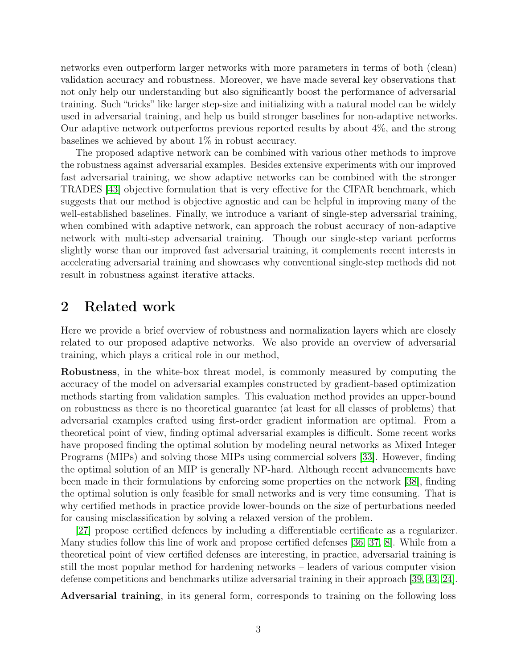networks even outperform larger networks with more parameters in terms of both (clean) validation accuracy and robustness. Moreover, we have made several key observations that not only help our understanding but also significantly boost the performance of adversarial training. Such "tricks" like larger step-size and initializing with a natural model can be widely used in adversarial training, and help us build stronger baselines for non-adaptive networks. Our adaptive network outperforms previous reported results by about 4%, and the strong baselines we achieved by about 1% in robust accuracy.

The proposed adaptive network can be combined with various other methods to improve the robustness against adversarial examples. Besides extensive experiments with our improved fast adversarial training, we show adaptive networks can be combined with the stronger TRADES [\[43\]](#page-15-5) objective formulation that is very effective for the CIFAR benchmark, which suggests that our method is objective agnostic and can be helpful in improving many of the well-established baselines. Finally, we introduce a variant of single-step adversarial training, when combined with adaptive network, can approach the robust accuracy of non-adaptive network with multi-step adversarial training. Though our single-step variant performs slightly worse than our improved fast adversarial training, it complements recent interests in accelerating adversarial training and showcases why conventional single-step methods did not result in robustness against iterative attacks.

### 2 Related work

Here we provide a brief overview of robustness and normalization layers which are closely related to our proposed adaptive networks. We also provide an overview of adversarial training, which plays a critical role in our method,

Robustness, in the white-box threat model, is commonly measured by computing the accuracy of the model on adversarial examples constructed by gradient-based optimization methods starting from validation samples. This evaluation method provides an upper-bound on robustness as there is no theoretical guarantee (at least for all classes of problems) that adversarial examples crafted using first-order gradient information are optimal. From a theoretical point of view, finding optimal adversarial examples is difficult. Some recent works have proposed finding the optimal solution by modeling neural networks as Mixed Integer Programs (MIPs) and solving those MIPs using commercial solvers [\[33\]](#page-15-9). However, finding the optimal solution of an MIP is generally NP-hard. Although recent advancements have been made in their formulations by enforcing some properties on the network [\[38\]](#page-15-10), finding the optimal solution is only feasible for small networks and is very time consuming. That is why certified methods in practice provide lower-bounds on the size of perturbations needed for causing misclassification by solving a relaxed version of the problem.

[\[27\]](#page-14-11) propose certified defences by including a differentiable certificate as a regularizer. Many studies follow this line of work and propose certified defenses [\[36,](#page-15-11) [37,](#page-15-12) [8\]](#page-13-8). While from a theoretical point of view certified defenses are interesting, in practice, adversarial training is still the most popular method for hardening networks – leaders of various computer vision defense competitions and benchmarks utilize adversarial training in their approach [\[39,](#page-15-2) [43,](#page-15-5) [24\]](#page-14-6).

Adversarial training, in its general form, corresponds to training on the following loss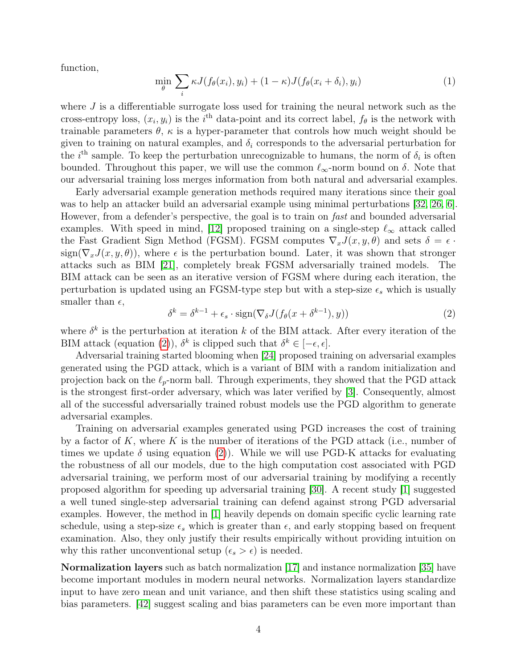function,

<span id="page-3-1"></span>
$$
\min_{\theta} \sum_{i} \kappa J(f_{\theta}(x_i), y_i) + (1 - \kappa) J(f_{\theta}(x_i + \delta_i), y_i)
$$
\n(1)

where  $J$  is a differentiable surrogate loss used for training the neural network such as the cross-entropy loss,  $(x_i, y_i)$  is the i<sup>th</sup> data-point and its correct label,  $f_\theta$  is the network with trainable parameters  $\theta$ ,  $\kappa$  is a hyper-parameter that controls how much weight should be given to training on natural examples, and  $\delta_i$  corresponds to the adversarial perturbation for the  $i^{\text{th}}$  sample. To keep the perturbation unrecognizable to humans, the norm of  $\delta_i$  is often bounded. Throughout this paper, we will use the common  $\ell_{\infty}$ -norm bound on  $\delta$ . Note that our adversarial training loss merges information from both natural and adversarial examples.

Early adversarial example generation methods required many iterations since their goal was to help an attacker build an adversarial example using minimal perturbations [\[32,](#page-15-0) [26,](#page-14-12) [6\]](#page-13-9). However, from a defender's perspective, the goal is to train on *fast* and bounded adversarial examples. With speed in mind, [\[12\]](#page-14-0) proposed training on a single-step  $\ell_{\infty}$  attack called the Fast Gradient Sign Method (FGSM). FGSM computes  $\nabla_x J(x, y, \theta)$  and sets  $\delta = \epsilon$ . sign( $\nabla_x J(x, y, \theta)$ ), where  $\epsilon$  is the perturbation bound. Later, it was shown that stronger attacks such as BIM [\[21\]](#page-14-13), completely break FGSM adversarially trained models. The BIM attack can be seen as an iterative version of FGSM where during each iteration, the perturbation is updated using an FGSM-type step but with a step-size  $\epsilon_s$  which is usually smaller than  $\epsilon$ ,

<span id="page-3-0"></span>
$$
\delta^k = \delta^{k-1} + \epsilon_s \cdot \text{sign}(\nabla_\delta J(f_\theta(x + \delta^{k-1}), y)) \tag{2}
$$

where  $\delta^k$  is the perturbation at iteration k of the BIM attack. After every iteration of the BIM attack (equation [\(2\)](#page-3-0)),  $\delta^k$  is clipped such that  $\delta^k \in [-\epsilon, \epsilon].$ 

Adversarial training started blooming when [\[24\]](#page-14-6) proposed training on adversarial examples generated using the PGD attack, which is a variant of BIM with a random initialization and projection back on the  $\ell_p$ -norm ball. Through experiments, they showed that the PGD attack is the strongest first-order adversary, which was later verified by [\[3\]](#page-13-4). Consequently, almost all of the successful adversarially trained robust models use the PGD algorithm to generate adversarial examples.

Training on adversarial examples generated using PGD increases the cost of training by a factor of K, where K is the number of iterations of the PGD attack (i.e., number of times we update  $\delta$  using equation [\(2\)](#page-3-0)). While we will use PGD-K attacks for evaluating the robustness of all our models, due to the high computation cost associated with PGD adversarial training, we perform most of our adversarial training by modifying a recently proposed algorithm for speeding up adversarial training [\[30\]](#page-15-13). A recent study [\[1\]](#page-13-10) suggested a well tuned single-step adversarial training can defend against strong PGD adversarial examples. However, the method in [\[1\]](#page-13-10) heavily depends on domain specific cyclic learning rate schedule, using a step-size  $\epsilon_s$  which is greater than  $\epsilon$ , and early stopping based on frequent examination. Also, they only justify their results empirically without providing intuition on why this rather unconventional setup  $(\epsilon_s > \epsilon)$  is needed.

Normalization layers such as batch normalization [\[17\]](#page-14-8) and instance normalization [\[35\]](#page-15-8) have become important modules in modern neural networks. Normalization layers standardize input to have zero mean and unit variance, and then shift these statistics using scaling and bias parameters. [\[42\]](#page-15-14) suggest scaling and bias parameters can be even more important than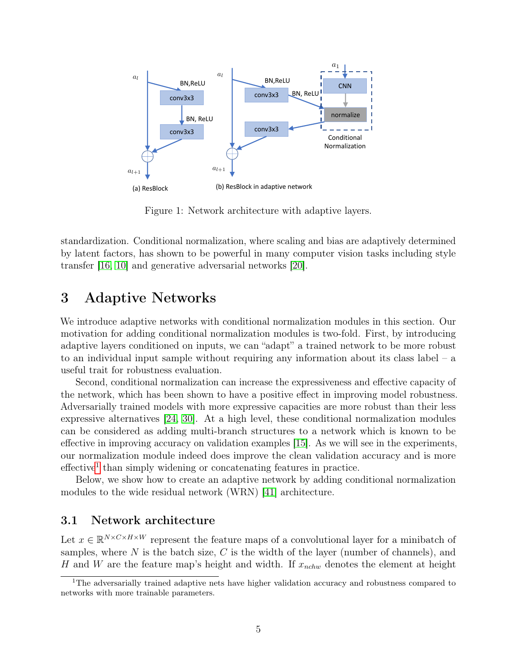<span id="page-4-1"></span>

Figure 1: Network architecture with adaptive layers.

standardization. Conditional normalization, where scaling and bias are adaptively determined by latent factors, has shown to be powerful in many computer vision tasks including style transfer [\[16,](#page-14-10) [10\]](#page-13-7) and generative adversarial networks [\[20\]](#page-14-9).

### 3 Adaptive Networks

We introduce adaptive networks with conditional normalization modules in this section. Our motivation for adding conditional normalization modules is two-fold. First, by introducing adaptive layers conditioned on inputs, we can "adapt" a trained network to be more robust to an individual input sample without requiring any information about its class label – a useful trait for robustness evaluation.

Second, conditional normalization can increase the expressiveness and effective capacity of the network, which has been shown to have a positive effect in improving model robustness. Adversarially trained models with more expressive capacities are more robust than their less expressive alternatives [\[24,](#page-14-6) [30\]](#page-15-13). At a high level, these conditional normalization modules can be considered as adding multi-branch structures to a network which is known to be effective in improving accuracy on validation examples [\[15\]](#page-14-14). As we will see in the experiments, our normalization module indeed does improve the clean validation accuracy and is more effective<sup>[1](#page-4-0)</sup> than simply widening or concatenating features in practice.

Below, we show how to create an adaptive network by adding conditional normalization modules to the wide residual network (WRN) [\[41\]](#page-15-15) architecture.

#### 3.1 Network architecture

Let  $x \in \mathbb{R}^{N \times C \times H \times W}$  represent the feature maps of a convolutional layer for a minibatch of samples, where  $N$  is the batch size,  $C$  is the width of the layer (number of channels), and H and W are the feature map's height and width. If  $x_{nchw}$  denotes the element at height

<span id="page-4-0"></span><sup>&</sup>lt;sup>1</sup>The adversarially trained adaptive nets have higher validation accuracy and robustness compared to networks with more trainable parameters.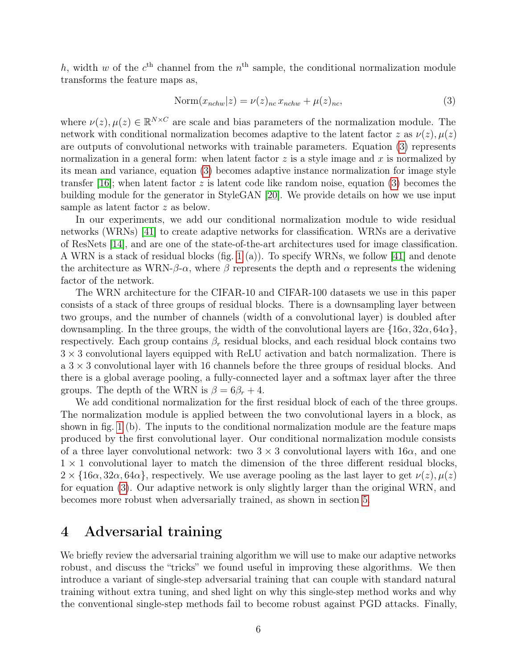h, width w of the  $c<sup>th</sup>$  channel from the  $n<sup>th</sup>$  sample, the conditional normalization module transforms the feature maps as,

$$
Norm(x_{nchw}|z) = \nu(z)_{nc} x_{nchw} + \mu(z)_{nc},
$$
\n(3)

<span id="page-5-0"></span>where  $\nu(z)$ ,  $\mu(z) \in \mathbb{R}^{N \times C}$  are scale and bias parameters of the normalization module. The network with conditional normalization becomes adaptive to the latent factor z as  $\nu(z)$ ,  $\mu(z)$ are outputs of convolutional networks with trainable parameters. Equation [\(3\)](#page-5-0) represents normalization in a general form: when latent factor  $z$  is a style image and  $x$  is normalized by its mean and variance, equation [\(3\)](#page-5-0) becomes adaptive instance normalization for image style transfer [\[16\]](#page-14-10); when latent factor z is latent code like random noise, equation [\(3\)](#page-5-0) becomes the building module for the generator in StyleGAN [\[20\]](#page-14-9). We provide details on how we use input sample as latent factor z as below.

In our experiments, we add our conditional normalization module to wide residual networks (WRNs) [\[41\]](#page-15-15) to create adaptive networks for classification. WRNs are a derivative of ResNets [\[14\]](#page-14-15), and are one of the state-of-the-art architectures used for image classification. A WRN is a stack of residual blocks (fig. [1](#page-4-1) (a)). To specify WRNs, we follow [\[41\]](#page-15-15) and denote the architecture as WRN- $\beta$ - $\alpha$ , where  $\beta$  represents the depth and  $\alpha$  represents the widening factor of the network.

The WRN architecture for the CIFAR-10 and CIFAR-100 datasets we use in this paper consists of a stack of three groups of residual blocks. There is a downsampling layer between two groups, and the number of channels (width of a convolutional layer) is doubled after downsampling. In the three groups, the width of the convolutional layers are  $\{16\alpha, 32\alpha, 64\alpha\}$ , respectively. Each group contains  $\beta_r$  residual blocks, and each residual block contains two  $3 \times 3$  convolutional layers equipped with ReLU activation and batch normalization. There is a  $3 \times 3$  convolutional layer with 16 channels before the three groups of residual blocks. And there is a global average pooling, a fully-connected layer and a softmax layer after the three groups. The depth of the WRN is  $\beta = 6\beta_r + 4$ .

We add conditional normalization for the first residual block of each of the three groups. The normalization module is applied between the two convolutional layers in a block, as shown in fig. [1](#page-4-1) (b). The inputs to the conditional normalization module are the feature maps produced by the first convolutional layer. Our conditional normalization module consists of a three layer convolutional network: two  $3 \times 3$  convolutional layers with  $16\alpha$ , and one  $1 \times 1$  convolutional layer to match the dimension of the three different residual blocks,  $2 \times \{16\alpha, 32\alpha, 64\alpha\}$ , respectively. We use average pooling as the last layer to get  $\nu(z), \mu(z)$ for equation [\(3\)](#page-5-0). Our adaptive network is only slightly larger than the original WRN, and becomes more robust when adversarially trained, as shown in section [5.](#page-8-0)

## 4 Adversarial training

We briefly review the adversarial training algorithm we will use to make our adaptive networks robust, and discuss the "tricks" we found useful in improving these algorithms. We then introduce a variant of single-step adversarial training that can couple with standard natural training without extra tuning, and shed light on why this single-step method works and why the conventional single-step methods fail to become robust against PGD attacks. Finally,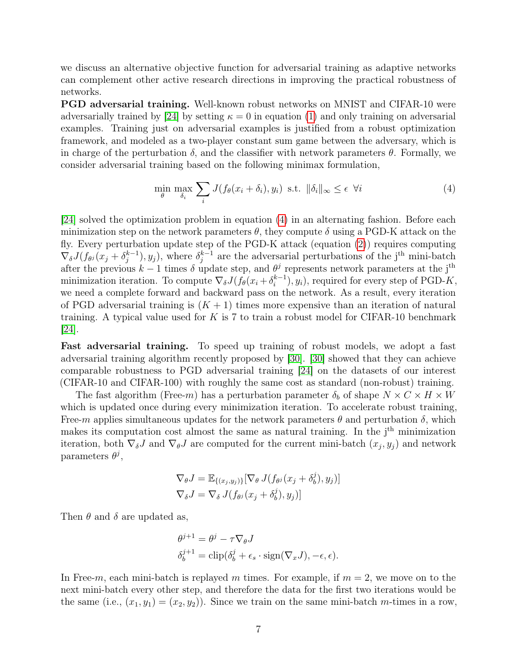we discuss an alternative objective function for adversarial training as adaptive networks can complement other active research directions in improving the practical robustness of networks.

PGD adversarial training. Well-known robust networks on MNIST and CIFAR-10 were adversarially trained by [\[24\]](#page-14-6) by setting  $\kappa = 0$  in equation [\(1\)](#page-3-1) and only training on adversarial examples. Training just on adversarial examples is justified from a robust optimization framework, and modeled as a two-player constant sum game between the adversary, which is in charge of the perturbation  $\delta$ , and the classifier with network parameters  $\theta$ . Formally, we consider adversarial training based on the following minimax formulation,

<span id="page-6-0"></span>
$$
\min_{\theta} \max_{\delta_i} \sum_i J(f_{\theta}(x_i + \delta_i), y_i) \text{ s.t. } \|\delta_i\|_{\infty} \le \epsilon \ \forall i
$$
\n(4)

[\[24\]](#page-14-6) solved the optimization problem in equation [\(4\)](#page-6-0) in an alternating fashion. Before each minimization step on the network parameters  $\theta$ , they compute  $\delta$  using a PGD-K attack on the fly. Every perturbation update step of the PGD-K attack (equation [\(2\)](#page-3-0)) requires computing  $\nabla_{\delta} J(f_{\theta^j}(x_j + \delta^{k-1}_j))$  $\binom{k-1}{j}$ ,  $y_j$ , where  $\delta_j^{k-1}$  $j_j^{k-1}$  are the adversarial perturbations of the j<sup>th</sup> mini-batch after the previous  $k-1$  times  $\delta$  update step, and  $\theta^j$  represents network parameters at the j<sup>th</sup> minimization iteration. To compute  $\nabla_{\delta} J(f_{\theta}(x_i + \delta_i^{k-1}))$  $\binom{k-1}{i}, y_i$ , required for every step of PGD-K, we need a complete forward and backward pass on the network. As a result, every iteration of PGD adversarial training is  $(K + 1)$  times more expensive than an iteration of natural training. A typical value used for  $K$  is 7 to train a robust model for CIFAR-10 benchmark [\[24\]](#page-14-6).

Fast adversarial training. To speed up training of robust models, we adopt a fast adversarial training algorithm recently proposed by [\[30\]](#page-15-13). [\[30\]](#page-15-13) showed that they can achieve comparable robustness to PGD adversarial training [\[24\]](#page-14-6) on the datasets of our interest (CIFAR-10 and CIFAR-100) with roughly the same cost as standard (non-robust) training.

The fast algorithm (Free-m) has a perturbation parameter  $\delta_b$  of shape  $N \times C \times H \times W$ which is updated once during every minimization iteration. To accelerate robust training, Free-m applies simultaneous updates for the network parameters  $\theta$  and perturbation  $\delta$ , which makes its computation cost almost the same as natural training. In the  $j<sup>th</sup>$  minimization iteration, both  $\nabla_{\delta}J$  and  $\nabla_{\theta}J$  are computed for the current mini-batch  $(x_j, y_j)$  and network parameters  $\theta^j$ ,

$$
\nabla_{\theta} J = \mathbb{E}_{\{(x_j, y_j)\}} [\nabla_{\theta} J(f_{\theta^j}(x_j + \delta^j_b), y_j)]
$$
  

$$
\nabla_{\delta} J = \nabla_{\delta} J(f_{\theta^j}(x_j + \delta^j_b), y_j)]
$$

Then  $\theta$  and  $\delta$  are updated as,

$$
\theta^{j+1} = \theta^j - \tau \nabla_{\theta} J
$$
  

$$
\delta_b^{j+1} = \text{clip}(\delta_b^j + \epsilon_s \cdot \text{sign}(\nabla_x J), -\epsilon, \epsilon).
$$

In Free-m, each mini-batch is replayed m times. For example, if  $m = 2$ , we move on to the next mini-batch every other step, and therefore the data for the first two iterations would be the same (i.e.,  $(x_1, y_1) = (x_2, y_2)$ ). Since we train on the same mini-batch m-times in a row,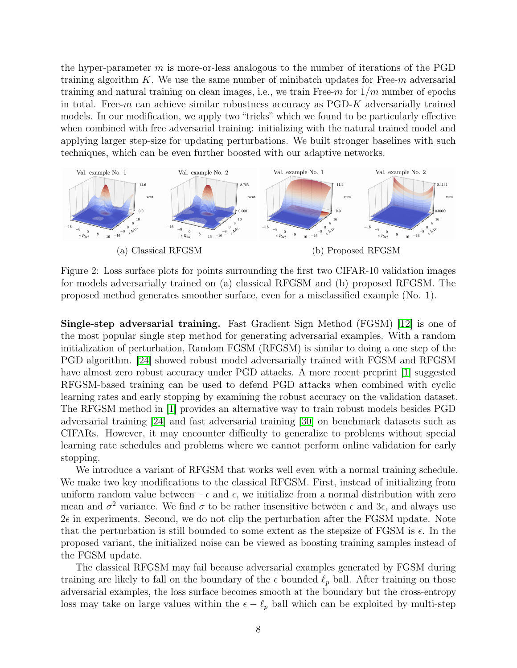the hyper-parameter  $m$  is more-or-less analogous to the number of iterations of the PGD training algorithm  $K$ . We use the same number of minibatch updates for Free- $m$  adversarial training and natural training on clean images, i.e., we train Free- $m$  for  $1/m$  number of epochs in total. Free- $m$  can achieve similar robustness accuracy as  $PGD-K$  adversarially trained models. In our modification, we apply two "tricks" which we found to be particularly effective when combined with free adversarial training: initializing with the natural trained model and applying larger step-size for updating perturbations. We built stronger baselines with such techniques, which can be even further boosted with our adaptive networks.

<span id="page-7-0"></span>

Figure 2: Loss surface plots for points surrounding the first two CIFAR-10 validation images for models adversarially trained on (a) classical RFGSM and (b) proposed RFGSM. The proposed method generates smoother surface, even for a misclassified example (No. 1).

Single-step adversarial training. Fast Gradient Sign Method (FGSM) [\[12\]](#page-14-0) is one of the most popular single step method for generating adversarial examples. With a random initialization of perturbation, Random FGSM (RFGSM) is similar to doing a one step of the PGD algorithm. [\[24\]](#page-14-6) showed robust model adversarially trained with FGSM and RFGSM have almost zero robust accuracy under PGD attacks. A more recent preprint [\[1\]](#page-13-10) suggested RFGSM-based training can be used to defend PGD attacks when combined with cyclic learning rates and early stopping by examining the robust accuracy on the validation dataset. The RFGSM method in [\[1\]](#page-13-10) provides an alternative way to train robust models besides PGD adversarial training [\[24\]](#page-14-6) and fast adversarial training [\[30\]](#page-15-13) on benchmark datasets such as CIFARs. However, it may encounter difficulty to generalize to problems without special learning rate schedules and problems where we cannot perform online validation for early stopping.

We introduce a variant of RFGSM that works well even with a normal training schedule. We make two key modifications to the classical RFGSM. First, instead of initializing from uniform random value between  $-\epsilon$  and  $\epsilon$ , we initialize from a normal distribution with zero mean and  $\sigma^2$  variance. We find  $\sigma$  to be rather insensitive between  $\epsilon$  and  $3\epsilon$ , and always use  $2\epsilon$  in experiments. Second, we do not clip the perturbation after the FGSM update. Note that the perturbation is still bounded to some extent as the stepsize of FGSM is  $\epsilon$ . In the proposed variant, the initialized noise can be viewed as boosting training samples instead of the FGSM update.

The classical RFGSM may fail because adversarial examples generated by FGSM during training are likely to fall on the boundary of the  $\epsilon$  bounded  $\ell_p$  ball. After training on those adversarial examples, the loss surface becomes smooth at the boundary but the cross-entropy loss may take on large values within the  $\epsilon - \ell_p$  ball which can be exploited by multi-step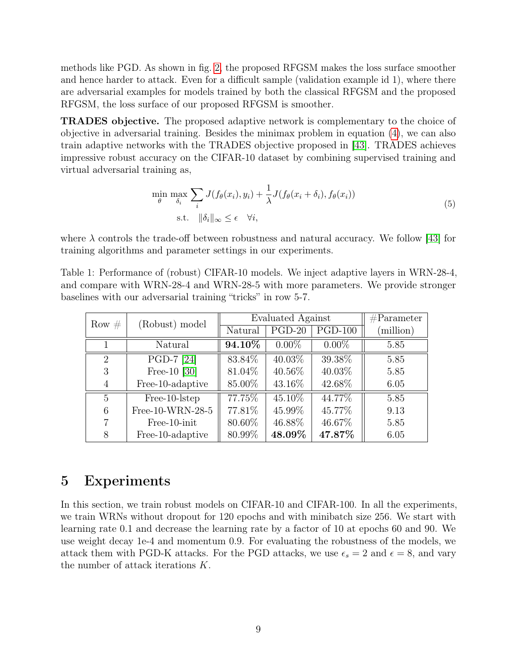methods like PGD. As shown in fig. [2,](#page-7-0) the proposed RFGSM makes the loss surface smoother and hence harder to attack. Even for a difficult sample (validation example id 1), where there are adversarial examples for models trained by both the classical RFGSM and the proposed RFGSM, the loss surface of our proposed RFGSM is smoother.

TRADES objective. The proposed adaptive network is complementary to the choice of objective in adversarial training. Besides the minimax problem in equation [\(4\)](#page-6-0), we can also train adaptive networks with the TRADES objective proposed in [\[43\]](#page-15-5). TRADES achieves impressive robust accuracy on the CIFAR-10 dataset by combining supervised training and virtual adversarial training as,

$$
\min_{\theta} \max_{\delta_i} \sum_i J(f_{\theta}(x_i), y_i) + \frac{1}{\lambda} J(f_{\theta}(x_i + \delta_i), f_{\theta}(x_i))
$$
\n
$$
\text{s.t. } \|\delta_i\|_{\infty} \le \epsilon \quad \forall i,
$$
\n
$$
(5)
$$

where  $\lambda$  controls the trade-off between robustness and natural accuracy. We follow [\[43\]](#page-15-5) for training algorithms and parameter settings in our experiments.

<span id="page-8-1"></span>Table 1: Performance of (robust) CIFAR-10 models. We inject adaptive layers in WRN-28-4, and compare with WRN-28-4 and WRN-28-5 with more parameters. We provide stronger baselines with our adversarial training "tricks" in row 5-7.

| Row $#$        | (Robust) model   | Evaluated Against |          |           | $\#Parameter$ |
|----------------|------------------|-------------------|----------|-----------|---------------|
|                |                  | Natural           | $PGD-20$ | $PGD-100$ | (million)     |
|                | Natural          | 94.10%            | $0.00\%$ | $0.00\%$  | 5.85          |
| $\overline{2}$ | PGD-7 [24]       | 83.84\%           | 40.03%   | 39.38%    | 5.85          |
| 3              | Free-10 $[30]$   | 81.04%            | 40.56%   | 40.03%    | 5.85          |
| 4              | Free-10-adaptive | 85.00%            | 43.16\%  | 42.68%    | 6.05          |
| 5              | Free-10-lstep    | 77.75%            | 45.10\%  | 44.77%    | 5.85          |
| 6              | Free-10-WRN-28-5 | 77.81%            | 45.99%   | 45.77%    | 9.13          |
| 7              | Free-10-init     | 80.60%            | 46.88%   | 46.67%    | 5.85          |
| 8              | Free-10-adaptive | 80.99%            | 48.09%   | 47.87%    | 6.05          |

### <span id="page-8-0"></span>5 Experiments

In this section, we train robust models on CIFAR-10 and CIFAR-100. In all the experiments, we train WRNs without dropout for 120 epochs and with minibatch size 256. We start with learning rate 0.1 and decrease the learning rate by a factor of 10 at epochs 60 and 90. We use weight decay 1e-4 and momentum 0.9. For evaluating the robustness of the models, we attack them with PGD-K attacks. For the PGD attacks, we use  $\epsilon_s = 2$  and  $\epsilon = 8$ , and vary the number of attack iterations K.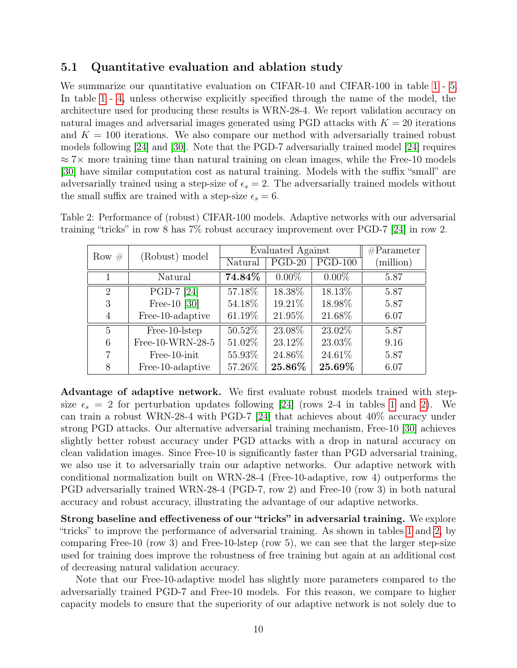### 5.1 Quantitative evaluation and ablation study

We summarize our quantitative evaluation on CIFAR-10 and CIFAR-100 in table [1](#page-8-1) - [5.](#page-11-0) In table [1](#page-8-1) - [4,](#page-10-0) unless otherwise explicitly specified through the name of the model, the architecture used for producing these results is WRN-28-4. We report validation accuracy on natural images and adversarial images generated using PGD attacks with  $K = 20$  iterations and  $K = 100$  iterations. We also compare our method with adversarially trained robust models following [\[24\]](#page-14-6) and [\[30\]](#page-15-13). Note that the PGD-7 adversarially trained model [\[24\]](#page-14-6) requires  $\approx$  7× more training time than natural training on clean images, while the Free-10 models [\[30\]](#page-15-13) have similar computation cost as natural training. Models with the suffix "small" are adversarially trained using a step-size of  $\epsilon_s = 2$ . The adversarially trained models without the small suffix are trained with a step-size  $\epsilon_s = 6$ .

| Row $#$        | (Robust) model   | Evaluated Against |          |           | $\#Parameter$ |
|----------------|------------------|-------------------|----------|-----------|---------------|
|                |                  | Natural           | $PGD-20$ | $PGD-100$ | (million)     |
| 1              | Natural          | 74.84%            | $0.00\%$ | $0.00\%$  | 5.87          |
| 2              | PGD-7 [24]       | 57.18%            | 18.38%   | 18.13%    | 5.87          |
| 3              | Free-10 $[30]$   | 54.18%            | 19.21\%  | 18.98%    | 5.87          |
| 4              | Free-10-adaptive | 61.19%            | 21.95%   | 21.68%    | 6.07          |
| $\overline{5}$ | Free-10-lstep    | $50.52\%$         | 23.08%   | 23.02%    | 5.87          |
| 6              | Free-10-WRN-28-5 | 51.02%            | 23.12\%  | 23.03%    | 9.16          |
| 7              | Free-10-init     | 55.93%            | 24.86\%  | 24.61%    | 5.87          |
| 8              | Free-10-adaptive | 57.26%            | 25.86%   | 25.69%    | 6.07          |

<span id="page-9-0"></span>Table 2: Performance of (robust) CIFAR-100 models. Adaptive networks with our adversarial training "tricks" in row 8 has 7% robust accuracy improvement over PGD-7 [\[24\]](#page-14-6) in row 2.

Advantage of adaptive network. We first evaluate robust models trained with stepsize  $\epsilon_s = 2$  for perturbation updates following [\[24\]](#page-14-6) (rows 2-4 in tables [1](#page-8-1) and [2\)](#page-9-0). We can train a robust WRN-28-4 with PGD-7 [\[24\]](#page-14-6) that achieves about 40% accuracy under strong PGD attacks. Our alternative adversarial training mechanism, Free-10 [\[30\]](#page-15-13) achieves slightly better robust accuracy under PGD attacks with a drop in natural accuracy on clean validation images. Since Free-10 is significantly faster than PGD adversarial training, we also use it to adversarially train our adaptive networks. Our adaptive network with conditional normalization built on WRN-28-4 (Free-10-adaptive, row 4) outperforms the PGD adversarially trained WRN-28-4 (PGD-7, row 2) and Free-10 (row 3) in both natural accuracy and robust accuracy, illustrating the advantage of our adaptive networks.

Strong baseline and effectiveness of our "tricks" in adversarial training. We explore "tricks" to improve the performance of adversarial training. As shown in tables [1](#page-8-1) and [2,](#page-9-0) by comparing Free-10 (row 3) and Free-10-lstep (row 5), we can see that the larger step-size used for training does improve the robustness of free training but again at an additional cost of decreasing natural validation accuracy.

Note that our Free-10-adaptive model has slightly more parameters compared to the adversarially trained PGD-7 and Free-10 models. For this reason, we compare to higher capacity models to ensure that the superiority of our adaptive network is not solely due to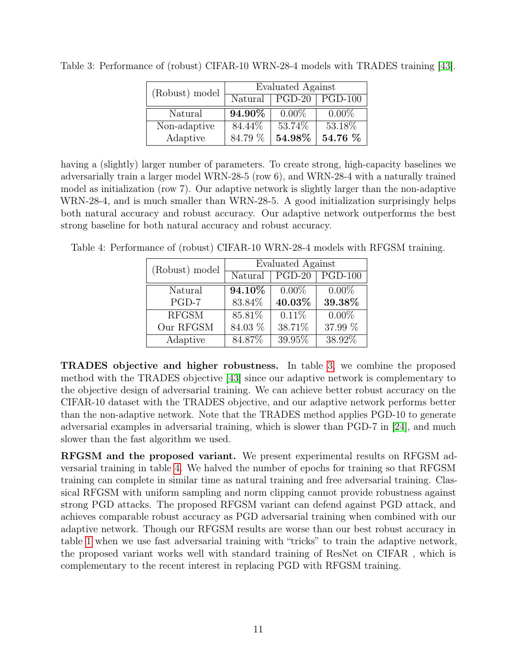| (Robust) model | Evaluated Against |                        |                |  |
|----------------|-------------------|------------------------|----------------|--|
|                | Natural           | $\sqrt{\text{PGD-20}}$ | <b>PGD-100</b> |  |
| Natural        | 94.90%            | $0.00\%$               | $0.00\%$       |  |
| Non-adaptive   | 84.44\%           | 53.74%                 | 53.18%         |  |
| Adaptive       | 84.79 %           | 54.98%                 | 54.76 %        |  |

<span id="page-10-1"></span>Table 3: Performance of (robust) CIFAR-10 WRN-28-4 models with TRADES training [\[43\]](#page-15-5).

having a (slightly) larger number of parameters. To create strong, high-capacity baselines we adversarially train a larger model WRN-28-5 (row 6), and WRN-28-4 with a naturally trained model as initialization (row 7). Our adaptive network is slightly larger than the non-adaptive WRN-28-4, and is much smaller than WRN-28-5. A good initialization surprisingly helps both natural accuracy and robust accuracy. Our adaptive network outperforms the best strong baseline for both natural accuracy and robust accuracy.

<span id="page-10-0"></span>Table 4: Performance of (robust) CIFAR-10 WRN-28-4 models with RFGSM training.

| (Robust) model | <b>Evaluated Against</b> |          |           |  |
|----------------|--------------------------|----------|-----------|--|
|                | Natural                  | $PGD-20$ | $PGD-100$ |  |
| Natural        | 94.10%                   | $0.00\%$ | $0.00\%$  |  |
| $PGD-7$        | 83.84%                   | 40.03%   | 39.38%    |  |
| <b>RFGSM</b>   | 85.81%                   | 0.11%    | $0.00\%$  |  |
| Our RFGSM      | 84.03 %                  | 38.71%   | 37.99 %   |  |
| Adaptive       | 84.87%                   | 39.95%   | 38.92%    |  |

TRADES objective and higher robustness. In table [3,](#page-10-1) we combine the proposed method with the TRADES objective [\[43\]](#page-15-5) since our adaptive network is complementary to the objective design of adversarial training. We can achieve better robust accuracy on the CIFAR-10 dataset with the TRADES objective, and our adaptive network performs better than the non-adaptive network. Note that the TRADES method applies PGD-10 to generate adversarial examples in adversarial training, which is slower than PGD-7 in [\[24\]](#page-14-6), and much slower than the fast algorithm we used.

RFGSM and the proposed variant. We present experimental results on RFGSM adversarial training in table [4.](#page-10-0) We halved the number of epochs for training so that RFGSM training can complete in similar time as natural training and free adversarial training. Classical RFGSM with uniform sampling and norm clipping cannot provide robustness against strong PGD attacks. The proposed RFGSM variant can defend against PGD attack, and achieves comparable robust accuracy as PGD adversarial training when combined with our adaptive network. Though our RFGSM results are worse than our best robust accuracy in table [1](#page-8-1) when we use fast adversarial training with "tricks" to train the adaptive network, the proposed variant works well with standard training of ResNet on CIFAR , which is complementary to the recent interest in replacing PGD with RFGSM training.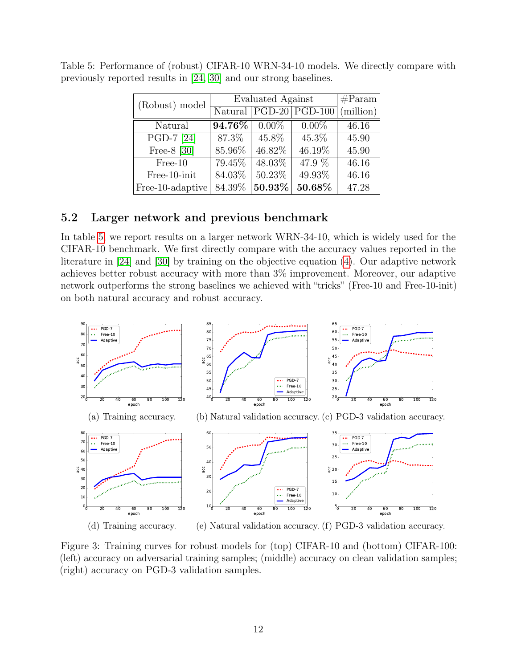| (Robust) model   | <b>Evaluated Against</b> | #Param   |                                                |           |
|------------------|--------------------------|----------|------------------------------------------------|-----------|
|                  |                          |          | $\overline{\text{Natural}   PGD-20   PGD-100}$ | (million) |
| Natural          | 94.76%                   | $0.00\%$ | $0.00\%$                                       | 46.16     |
| PGD-7 [24]       | $87.3\%$                 | 45.8%    | $45.3\%$                                       | 45.90     |
| Free- $8$ [30]   | 85.96%                   | 46.82%   | 46.19%                                         | 45.90     |
| $Free-10$        | 79.45%                   | 48.03%   | 47.9 %                                         | 46.16     |
| Free-10-init     | 84.03%                   | 50.23%   | 49.93%                                         | 46.16     |
| Free-10-adaptive | 84.39%                   | 50.93%   | 50.68%                                         | 47.28     |

<span id="page-11-0"></span>Table 5: Performance of (robust) CIFAR-10 WRN-34-10 models. We directly compare with previously reported results in [\[24,](#page-14-6) [30\]](#page-15-13) and our strong baselines.

### 5.2 Larger network and previous benchmark

In table [5,](#page-11-0) we report results on a larger network WRN-34-10, which is widely used for the CIFAR-10 benchmark. We first directly compare with the accuracy values reported in the literature in [\[24\]](#page-14-6) and [\[30\]](#page-15-13) by training on the objective equation [\(4\)](#page-6-0). Our adaptive network achieves better robust accuracy with more than 3% improvement. Moreover, our adaptive network outperforms the strong baselines we achieved with "tricks" (Free-10 and Free-10-init) on both natural accuracy and robust accuracy.

<span id="page-11-1"></span>

Figure 3: Training curves for robust models for (top) CIFAR-10 and (bottom) CIFAR-100: (left) accuracy on adversarial training samples; (middle) accuracy on clean validation samples; (right) accuracy on PGD-3 validation samples.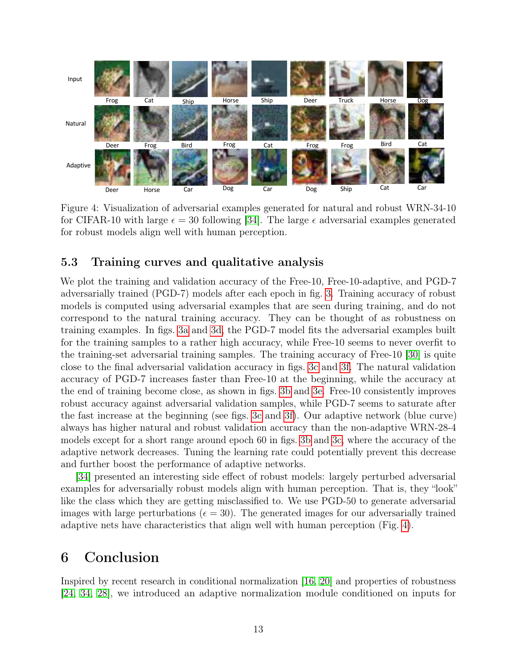<span id="page-12-0"></span>

Figure 4: Visualization of adversarial examples generated for natural and robust WRN-34-10 for robust models align well with human perception. for CIFAR-10 with large  $\epsilon = 30$  following [\[34\]](#page-15-4). The large  $\epsilon$  adversarial examples generated

#### 5.3 Training curves and qualitative analysis

We plot the training and validation accuracy of the Free-10, Free-10-adaptive, and PGD-7 adversarially trained (PGD-7) models after each epoch in fig. [3.](#page-11-1) Training accuracy of robust models is computed using adversarial examples that are seen during training, and do not correspond to the natural training accuracy. They can be thought of as robustness on training examples. In figs. [3a](#page-11-1) and [3d,](#page-11-1) the PGD-7 model fits the adversarial examples built for the training samples to a rather high accuracy, while Free-10 seems to never overfit to the training-set adversarial training samples. The training accuracy of Free-10 [\[30\]](#page-15-13) is quite close to the final adversarial validation accuracy in figs. [3c](#page-11-1) and [3f.](#page-11-1) The natural validation accuracy of PGD-7 increases faster than Free-10 at the beginning, while the accuracy at the end of training become close, as shown in figs. [3b](#page-11-1) and [3e.](#page-11-1) Free-10 consistently improves robust accuracy against adversarial validation samples, while PGD-7 seems to saturate after the fast increase at the beginning (see figs. [3c](#page-11-1) and [3f\)](#page-11-1). Our adaptive network (blue curve) always has higher natural and robust validation accuracy than the non-adaptive WRN-28-4 models except for a short range around epoch 60 in figs. [3b](#page-11-1) and [3c,](#page-11-1) where the accuracy of the adaptive network decreases. Tuning the learning rate could potentially prevent this decrease and further boost the performance of adaptive networks.

[\[34\]](#page-15-4) presented an interesting side effect of robust models: largely perturbed adversarial examples for adversarially robust models align with human perception. That is, they "look" like the class which they are getting misclassified to. We use PGD-50 to generate adversarial images with large perturbations ( $\epsilon = 30$ ). The generated images for our adversarially trained adaptive nets have characteristics that align well with human perception (Fig. [4\)](#page-12-0).

### 6 Conclusion

Inspired by recent research in conditional normalization [\[16,](#page-14-10) [20\]](#page-14-9) and properties of robustness [\[24,](#page-14-6) [34,](#page-15-4) [28\]](#page-15-7), we introduced an adaptive normalization module conditioned on inputs for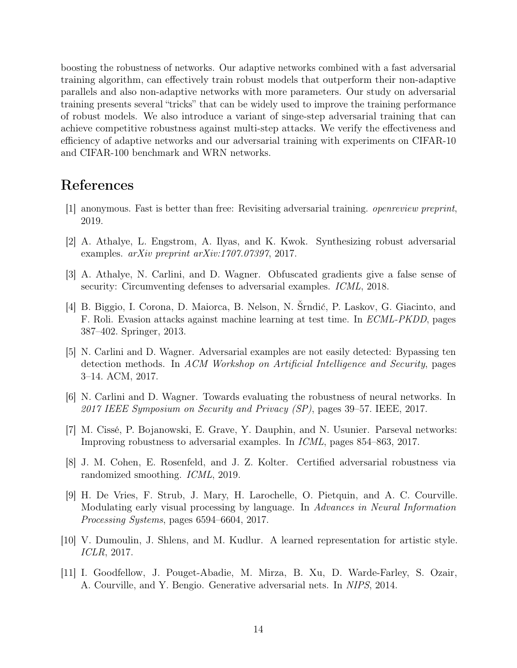boosting the robustness of networks. Our adaptive networks combined with a fast adversarial training algorithm, can effectively train robust models that outperform their non-adaptive parallels and also non-adaptive networks with more parameters. Our study on adversarial training presents several "tricks" that can be widely used to improve the training performance of robust models. We also introduce a variant of singe-step adversarial training that can achieve competitive robustness against multi-step attacks. We verify the effectiveness and efficiency of adaptive networks and our adversarial training with experiments on CIFAR-10 and CIFAR-100 benchmark and WRN networks.

### References

- <span id="page-13-10"></span>[1] anonymous. Fast is better than free: Revisiting adversarial training. openreview preprint, 2019.
- <span id="page-13-1"></span>[2] A. Athalye, L. Engstrom, A. Ilyas, and K. Kwok. Synthesizing robust adversarial examples.  $arXiv$  preprint  $arXiv:1707.07397, 2017$ .
- <span id="page-13-4"></span>[3] A. Athalye, N. Carlini, and D. Wagner. Obfuscated gradients give a false sense of security: Circumventing defenses to adversarial examples. *ICML*, 2018.
- <span id="page-13-0"></span>[4] B. Biggio, I. Corona, D. Maiorca, B. Nelson, N. Šrndić, P. Laskov, G. Giacinto, and F. Roli. Evasion attacks against machine learning at test time. In ECML-PKDD, pages 387–402. Springer, 2013.
- <span id="page-13-2"></span>[5] N. Carlini and D. Wagner. Adversarial examples are not easily detected: Bypassing ten detection methods. In ACM Workshop on Artificial Intelligence and Security, pages 3–14. ACM, 2017.
- <span id="page-13-9"></span>[6] N. Carlini and D. Wagner. Towards evaluating the robustness of neural networks. In 2017 IEEE Symposium on Security and Privacy (SP), pages 39–57. IEEE, 2017.
- <span id="page-13-3"></span>[7] M. Cissé, P. Bojanowski, E. Grave, Y. Dauphin, and N. Usunier. Parseval networks: Improving robustness to adversarial examples. In ICML, pages 854–863, 2017.
- <span id="page-13-8"></span>[8] J. M. Cohen, E. Rosenfeld, and J. Z. Kolter. Certified adversarial robustness via randomized smoothing. ICML, 2019.
- <span id="page-13-6"></span>[9] H. De Vries, F. Strub, J. Mary, H. Larochelle, O. Pietquin, and A. C. Courville. Modulating early visual processing by language. In Advances in Neural Information Processing Systems, pages 6594–6604, 2017.
- <span id="page-13-7"></span>[10] V. Dumoulin, J. Shlens, and M. Kudlur. A learned representation for artistic style. ICLR, 2017.
- <span id="page-13-5"></span>[11] I. Goodfellow, J. Pouget-Abadie, M. Mirza, B. Xu, D. Warde-Farley, S. Ozair, A. Courville, and Y. Bengio. Generative adversarial nets. In NIPS, 2014.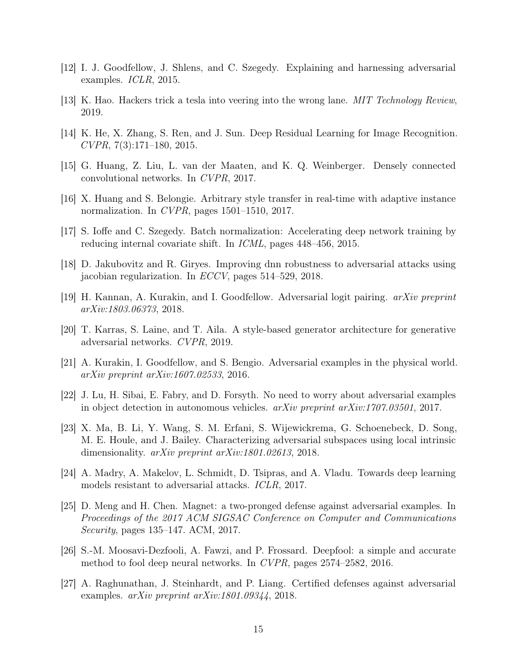- <span id="page-14-0"></span>[12] I. J. Goodfellow, J. Shlens, and C. Szegedy. Explaining and harnessing adversarial examples. ICLR, 2015.
- <span id="page-14-2"></span>[13] K. Hao. Hackers trick a tesla into veering into the wrong lane. MIT Technology Review, 2019.
- <span id="page-14-15"></span>[14] K. He, X. Zhang, S. Ren, and J. Sun. Deep Residual Learning for Image Recognition.  $CVPR$ , 7(3):171–180, 2015.
- <span id="page-14-14"></span>[15] G. Huang, Z. Liu, L. van der Maaten, and K. Q. Weinberger. Densely connected convolutional networks. In CVPR, 2017.
- <span id="page-14-10"></span>[16] X. Huang and S. Belongie. Arbitrary style transfer in real-time with adaptive instance normalization. In CVPR, pages 1501–1510, 2017.
- <span id="page-14-8"></span>[17] S. Ioffe and C. Szegedy. Batch normalization: Accelerating deep network training by reducing internal covariate shift. In ICML, pages 448–456, 2015.
- <span id="page-14-5"></span>[18] D. Jakubovitz and R. Giryes. Improving dnn robustness to adversarial attacks using jacobian regularization. In ECCV, pages 514–529, 2018.
- <span id="page-14-7"></span>[19] H. Kannan, A. Kurakin, and I. Goodfellow. Adversarial logit pairing. arXiv preprint arXiv:1803.06373, 2018.
- <span id="page-14-9"></span>[20] T. Karras, S. Laine, and T. Aila. A style-based generator architecture for generative adversarial networks. CVPR, 2019.
- <span id="page-14-13"></span>[21] A. Kurakin, I. Goodfellow, and S. Bengio. Adversarial examples in the physical world. arXiv preprint arXiv:1607.02533, 2016.
- <span id="page-14-1"></span>[22] J. Lu, H. Sibai, E. Fabry, and D. Forsyth. No need to worry about adversarial examples in object detection in autonomous vehicles.  $arXiv$  preprint  $arXiv:1707.03501$ , 2017.
- <span id="page-14-3"></span>[23] X. Ma, B. Li, Y. Wang, S. M. Erfani, S. Wijewickrema, G. Schoenebeck, D. Song, M. E. Houle, and J. Bailey. Characterizing adversarial subspaces using local intrinsic dimensionality. *arXiv preprint arXiv:1801.02613*, 2018.
- <span id="page-14-6"></span>[24] A. Madry, A. Makelov, L. Schmidt, D. Tsipras, and A. Vladu. Towards deep learning models resistant to adversarial attacks. ICLR, 2017.
- <span id="page-14-4"></span>[25] D. Meng and H. Chen. Magnet: a two-pronged defense against adversarial examples. In Proceedings of the 2017 ACM SIGSAC Conference on Computer and Communications Security, pages 135–147. ACM, 2017.
- <span id="page-14-12"></span>[26] S.-M. Moosavi-Dezfooli, A. Fawzi, and P. Frossard. Deepfool: a simple and accurate method to fool deep neural networks. In CVPR, pages 2574–2582, 2016.
- <span id="page-14-11"></span>[27] A. Raghunathan, J. Steinhardt, and P. Liang. Certified defenses against adversarial examples. arXiv preprint arXiv:1801.09344, 2018.